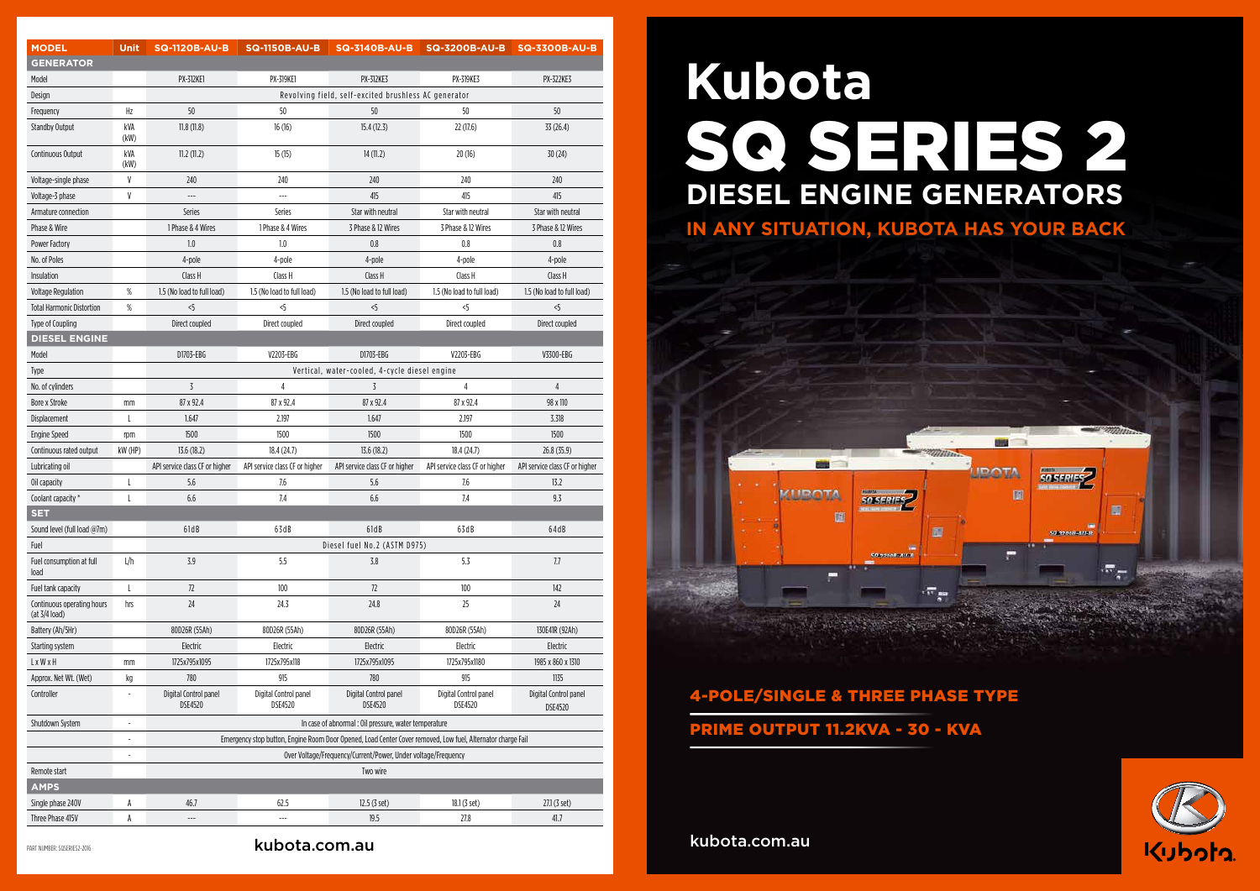| <b>MODEL</b>                                | <b>Unit</b>              | <b>SQ-1120B-AU-B</b>                                                                                        | <b>SQ-1150B-AU-B</b>                    | <b>SQ-3140B-AU-B</b>                    | <b>SQ-3200B-AU-B</b>                    | <b>SQ-3300B-AU-B</b>                    |
|---------------------------------------------|--------------------------|-------------------------------------------------------------------------------------------------------------|-----------------------------------------|-----------------------------------------|-----------------------------------------|-----------------------------------------|
| <b>GENERATOR</b>                            |                          |                                                                                                             |                                         |                                         |                                         |                                         |
| Model                                       |                          | <b>PX-312KE1</b>                                                                                            | <b>PX-319KE1</b>                        | <b>PX-312KE3</b>                        | <b>PX-319KE3</b>                        | <b>PX-322KE3</b>                        |
| Design                                      |                          | Revolving field, self-excited brushless AC generator                                                        |                                         |                                         |                                         |                                         |
| Frequency                                   | Hz                       | 50                                                                                                          | 50                                      | 50                                      | 50                                      | 50                                      |
| <b>Standby Output</b>                       | kVA<br>(kW)              | 11.8(11.8)                                                                                                  | 16(16)                                  | 15.4(12.3)                              | 22(17.6)                                | 33 (26.4)                               |
| Continuous Output                           | kVA<br>(kW)              | 11.2(11.2)                                                                                                  | 15(15)                                  | 14(11.2)                                | 20(16)                                  | 30(24)                                  |
| Voltage-single phase                        | V                        | 240                                                                                                         | 240                                     | 240                                     | 240                                     | 240                                     |
| Voltage-3 phase                             | V                        | $\sim$                                                                                                      | $\overline{a}$                          | 415                                     | 415                                     | 415                                     |
| Armature connection                         |                          | <b>Series</b>                                                                                               | Series                                  | Star with neutral                       | Star with neutral                       | Star with neutral                       |
| Phase & Wire                                |                          | 1 Phase & 4 Wires                                                                                           | 1 Phase & 4 Wires                       | 3 Phase & 12 Wires                      | 3 Phase & 12 Wires                      | 3 Phase & 12 Wires                      |
| Power Factory                               |                          | 1.0                                                                                                         | 1.0                                     | 0.8                                     | 0.8                                     | 0.8                                     |
| No. of Poles                                |                          | 4-pole                                                                                                      | 4-pole                                  | 4-pole                                  | 4-pole                                  | 4-pole                                  |
| Insulation                                  |                          | Class H                                                                                                     | Class H                                 | Class H                                 | Class H                                 | Class H                                 |
| <b>Voltage Regulation</b>                   | $\%$                     | 1.5 (No load to full load)                                                                                  | 1.5 (No load to full load)              | 1.5 (No load to full load)              | 1.5 (No load to full load)              | 1.5 (No load to full load)              |
| <b>Total Harmonic Distortion</b>            | $\%$                     | 5                                                                                                           | $\leq$                                  | $<$ 5                                   | <5                                      | 5                                       |
| Type of Coupling                            |                          | Direct coupled                                                                                              | Direct coupled                          | Direct coupled                          | Direct coupled                          | Direct coupled                          |
| <b>DIESEL ENGINE</b>                        |                          |                                                                                                             |                                         |                                         |                                         |                                         |
| Model                                       |                          | D1703-EBG                                                                                                   | V2203-EBG                               | D1703-EBG                               | V2203-EBG                               | V3300-EBG                               |
| Type                                        |                          | Vertical, water-cooled, 4-cycle diesel engine                                                               |                                         |                                         |                                         |                                         |
| No. of cylinders                            |                          | $\overline{3}$                                                                                              | $\overline{4}$                          | 3                                       | $\overline{4}$                          | $\overline{4}$                          |
| <b>Bore x Stroke</b>                        | mm                       | 87 x 92.4                                                                                                   | 87 x 92.4                               | 87 x 92.4                               | 87 x 92.4                               | 98 x 110                                |
| Displacement                                | L                        | 1.647                                                                                                       | 2.197                                   | 1.647                                   | 2.197                                   | 3.318                                   |
| <b>Engine Speed</b>                         | rpm                      | 1500                                                                                                        | 1500                                    | 1500                                    | 1500                                    | 1500                                    |
| Continuous rated output                     | kW (HP)                  | 13.6(18.2)                                                                                                  | 18.4(24.7)                              | 13.6(18.2)                              | 18.4(24.7)                              | 26.8 (35.9)                             |
| Lubricating oil                             |                          | API service class CF or higher                                                                              | API service class CF or higher          | API service class CF or higher          | API service class CF or higher          | API service class CF or higher          |
| Oil capacity                                | L                        | 5.6                                                                                                         | 7.6                                     | 5.6                                     | 7.6                                     | 13.2                                    |
| Coolant capacity *                          | L                        | 6.6                                                                                                         | 7.4                                     | 6.6                                     | 7.4                                     | 9.3                                     |
| <b>SET</b>                                  |                          |                                                                                                             |                                         |                                         |                                         |                                         |
| Sound level (full load @7m)                 |                          | 61dB                                                                                                        | 63dB                                    | 61dB                                    | 63dB                                    | 64dB                                    |
| Fuel                                        |                          | Diesel fuel No.2 (ASTM D975)                                                                                |                                         |                                         |                                         |                                         |
| Fuel consumption at full<br>load            | L/h                      | 3.9                                                                                                         | 5.5                                     | $3.8$                                   | 5.3                                     | 7.7                                     |
| Fuel tank capacity                          | L                        | 72                                                                                                          | 100                                     | 72                                      | 100                                     | 142                                     |
| Continuous operating hours<br>(at 3/4 load) | hrs                      | 24                                                                                                          | 24.3                                    | 24.8                                    | 25                                      | 24                                      |
| Battery (Ah/5Hr)                            |                          | 80D26R (55Ah)                                                                                               | 80D26R (55Ah)                           | 80D26R (55Ah)                           | 80D26R (55Ah)                           | 130E41R (92Ah)                          |
| Starting system                             |                          | Electric                                                                                                    | Electric                                | Electric                                | Electric                                | Electric                                |
| L x W x H                                   | mm                       | 1725x795x1095                                                                                               | 1725x795x118                            | 1725x795x1095                           | 1725x795x1180                           | 1985 x 860 x 1310                       |
| Approx. Net Wt. (Wet)                       | kg                       | 780                                                                                                         | 915                                     | 780                                     | 915                                     | 1135                                    |
| Controller                                  | L,                       | Digital Control panel<br><b>DSE4520</b>                                                                     | Digital Control panel<br><b>DSE4520</b> | Digital Control panel<br><b>DSE4520</b> | Digital Control panel<br><b>DSE4520</b> | Digital Control panel<br><b>DSE4520</b> |
| Shutdown System                             | ÷,                       | In case of abnormal : Oil pressure, water temperature                                                       |                                         |                                         |                                         |                                         |
|                                             | $\overline{\phantom{a}}$ | Emergency stop button, Engine Room Door Opened, Load Center Cover removed, Low fuel, Alternator charge Fail |                                         |                                         |                                         |                                         |
|                                             |                          | Over Voltage/Frequency/Current/Power, Under voltage/Frequency                                               |                                         |                                         |                                         |                                         |
| Remote start                                |                          | Two wire                                                                                                    |                                         |                                         |                                         |                                         |
| <b>AMPS</b>                                 |                          |                                                                                                             |                                         |                                         |                                         |                                         |
| Single phase 240V                           | A                        | 46.7                                                                                                        | 62.5                                    | 12.5 (3 set)                            | 18.1 (3 set)                            | 27.1 (3 set)                            |
| Three Phase 415V                            | A                        | $---$                                                                                                       | ---                                     | 19.5                                    | 27.8                                    | 41.7                                    |

# 4-POLE/SINGLE & THREE PHASE TYPE PRIME OUTPUT 11.2KVA - 30 - KVA

# SQ SERIES 2 **Kubota DIESEL ENGINE GENERATORS IN ANY SITUATION, KUBOTA HAS YOUR BACK**



kubota.com.au

PART NUMBER: SQSERIES2-2016 **kubota.com.au** 



**SHO** 

**ROTA** 

個

**SO SERIES** 

廣

 $\pi_{\pi}$